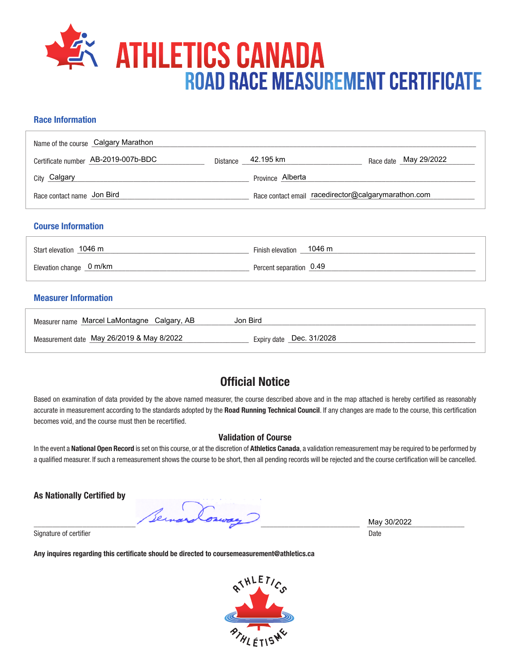

## **Race Information**

| Name of the course Calgary Marathon |                                                     |                       |
|-------------------------------------|-----------------------------------------------------|-----------------------|
| Certificate number AB-2019-007b-BDC | Distance 42.195 km                                  | Race date May 29/2022 |
| City Calgary                        | Province Alberta                                    |                       |
| Race contact name Jon Bird          | Race contact email racedirector@calgarymarathon.com |                       |

#### **Course Information**

| Start elevation 1046 m   | Finish elevation 1046 m |
|--------------------------|-------------------------|
| Elevation change _0 m/km | Percent separation 0.49 |

### **Measurer Information**

| Measurer name Marcel LaMontagne Calgary, AB | Jon Bird                 |
|---------------------------------------------|--------------------------|
| Measurement date May 26/2019 & May 8/2022   | Expiry date Dec. 31/2028 |

# **Official Notice**

Based on examination of data provided by the above named measurer, the course described above and in the map attached is hereby certified as reasonably accurate in measurement according to the standards adopted by the **Road Running Technical Council**. If any changes are made to the course, this certification becomes void, and the course must then be recertified.

#### **Validation of Course**

In the event a **National Open Record** is set on this course, or at the discretion of **Athletics Canada**, a validation remeasurement may be required to be performed by a qualified measurer. If such a remeasurement shows the course to be short, then all pending records will be rejected and the course certification will be cancelled.

**As Nationally Certified by**

\_\_\_\_\_\_\_\_\_\_\_\_\_\_\_\_\_\_\_\_\_\_\_\_\_\_\_\_\_\_\_\_\_\_\_\_\_\_\_\_\_\_\_\_\_\_\_\_\_\_\_\_\_\_\_\_\_\_\_\_\_\_\_\_\_\_\_\_\_\_\_\_\_\_\_\_\_\_\_\_\_\_\_\_\_\_\_ \_\_\_\_\_\_\_\_\_\_\_\_\_\_\_\_\_\_\_\_\_\_\_\_\_\_

Signature of certifier Date Date of Certifier and Contract of Certifier and Date Date of Certifier and Date Date of Certifier and Date of Certifier and Date of Certifier and Date of Certifier and Date of Certifier and Date

**Any inquires regarding this certificate should be directed to coursemeasurement@athletics.ca**



May 30/2022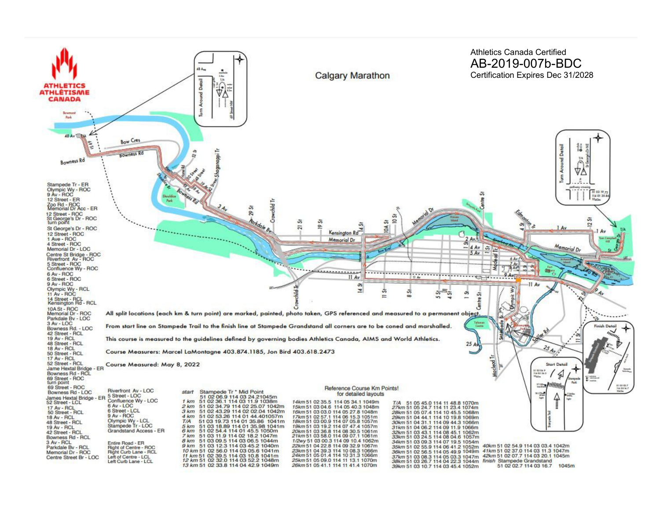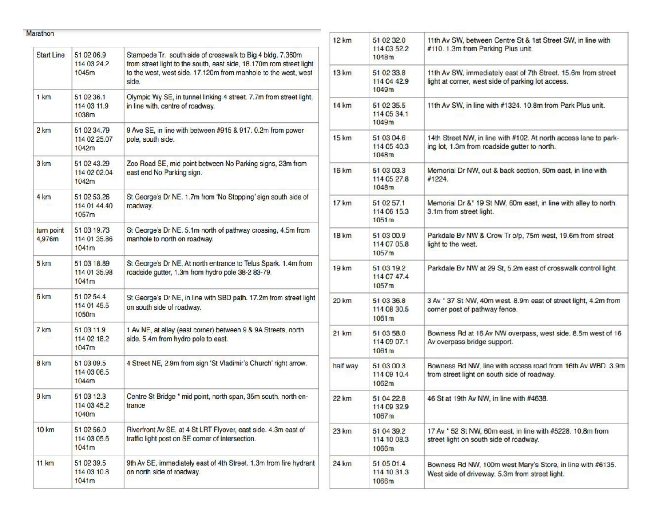| <b>Start Line</b>    | 51 02 06.9<br>114 03 24.2<br>1045m   | Stampede Tr, south side of crosswalk to Big 4 bldg. 7.360m<br>from street light to the south, east side, 18.170m rom street light<br>to the west, west side, 17.120m from manhole to the west, west<br>side. |
|----------------------|--------------------------------------|--------------------------------------------------------------------------------------------------------------------------------------------------------------------------------------------------------------|
| 1 km                 | 51 02 36.1<br>114 03 11.9<br>1038m   | Olympic Wy SE, in tunnel linking 4 street. 7.7m from street light,<br>in line with, centre of roadway.                                                                                                       |
| 2 km                 | 51 02 34 79<br>114 02 25.07<br>1042m | 9 Ave SE, in line with between #915 & 917. 0.2m from power<br>pole, south side.                                                                                                                              |
| 3 km                 | 51 02 43.29<br>114 02 02.04<br>1042m | Zoo Road SE, mid point between No Parking signs, 23m from<br>east end No Parking sign.                                                                                                                       |
| 4 km                 | 51 02 53.26<br>114 01 44.40<br>1057m | St George's Dr NE. 1.7m from 'No Stopping' sign south side of<br>roadway.                                                                                                                                    |
| turn point<br>4,976m | 51 03 19.73<br>114 01 35.86<br>1041m | St George's Dr NE. 5.1m north of pathway crossing, 4.5m from<br>manhole to north on roadway.                                                                                                                 |
| 5 km                 | 51 03 18.89<br>114 01 35.98<br>1041m | St George's Dr NE. At north entrance to Telus Spark. 1.4m from<br>roadside gutter, 1.3m from hydro pole 38-2 83-79.                                                                                          |
| 6 km                 | 51 02 54.4<br>114 01 45.5<br>1050m   | St George's Dr NE, in line with SBD path. 17.2m from street light<br>on south side of roadway.                                                                                                               |
| 7 km                 | 51 03 11.9<br>114 02 18.2<br>1047m   | 1 Av NE, at alley (east corner) between 9 & 9A Streets, north<br>side. 5.4m from hydro pole to east.                                                                                                         |
| 8 km                 | 51 03 09.5<br>114 03 06.5<br>1044m   | 4 Street NE, 2.9m from sign 'St Vladimir's Church' right arrow.                                                                                                                                              |
| 9 km                 | 51 03 12.3<br>114 03 45.2<br>1040m   | Centre St Bridge * mid point, north span, 35m south, north en-<br>trance                                                                                                                                     |
| <b>10 km</b>         | 51 02 56.0<br>114 03 05.6<br>1041m   | Riverfront Av SE, at 4 St LRT Flyover, east side. 4.3m east of<br>traffic light post on SE corner of intersection.                                                                                           |
| <b>11 km</b>         | 51 02 39.5<br>114 03 10.8<br>1041m   | 9th Av SE, immediately east of 4th Street. 1.3m from fire hydrant<br>on north side of roadway.                                                                                                               |

| 12 km        | 51 02 32.0<br>114 03 52.2<br>1048m | 11th Av SW, between Centre St & 1st Street SW, in line with<br>#110. 1.3m from Parking Plus unit.                  |
|--------------|------------------------------------|--------------------------------------------------------------------------------------------------------------------|
| 13 km        | 51 02 33.8<br>114 04 42.9<br>1049m | 11th Av SW, immediately east of 7th Street. 15.6m from street<br>light at corner, west side of parking lot access. |
| 14 km        | 51 02 35.5<br>114 05 34.1<br>1049m | 11th Av SW, in line with #1324. 10.8m from Park Plus unit.                                                         |
| 15 km        | 51 03 04.6<br>114 05 40.3<br>1048m | 14th Street NW, in line with #102. At north access lane to park-<br>ing lot, 1.3m from roadside gutter to north.   |
| 16 km        | 51 03 03.3<br>114 05 27.8<br>1048m | Memorial Dr NW, out & back section, 50m east, in line with<br>#1224.                                               |
| 17 km        | 51 02 57.1<br>114 06 15.3<br>1051m | Memorial Dr &* 19 St NW, 60m east, in line with alley to north.<br>3.1m from street light.                         |
| 18 km        | 51 03 00.9<br>114 07 05.8<br>1057m | Parkdale By NW & Crow Tr o/p, 75m west, 19.6m from street<br>light to the west.                                    |
| 19 km        | 51 03 19.2<br>114 07 47.4<br>1057m | Parkdale Bv NW at 29 St, 5.2m east of crosswalk control light.                                                     |
| 20 km        | 51 03 36.8<br>114 08 30.5<br>1061m | 3 Av * 37 St NW, 40m west. 8.9m east of street light, 4.2m from<br>corner post of pathway fence.                   |
| 21 km        | 51 03 58.0<br>114 09 07.1<br>1061m | Bowness Rd at 16 Av NW overpass, west side. 8.5m west of 16<br>Av overpass bridge support.                         |
| half way     | 51 03 00.3<br>114 09 10.4<br>1062m | Bowness Rd NW, line with access road from 16th Av WBD. 3.9m<br>from street light on south side of roadway.         |
| 22 km        | 51 04 22 8<br>114 09 32.9<br>1067m | 46 St at 19th Av NW, in line with #4638.                                                                           |
| 23 km        | 51 04 39.2<br>114 10 08.3<br>1066m | 17 Av * 52 St NW, 60m east, in line with #5228. 10.8m from<br>street light on south side of roadway.               |
| <b>24 km</b> | 51 05 01.4<br>114 10 31.3<br>1066m | Bowness Rd NW, 100m west Mary's Store, in line with #6135.<br>West side of driveway, 5.3m from street light.       |